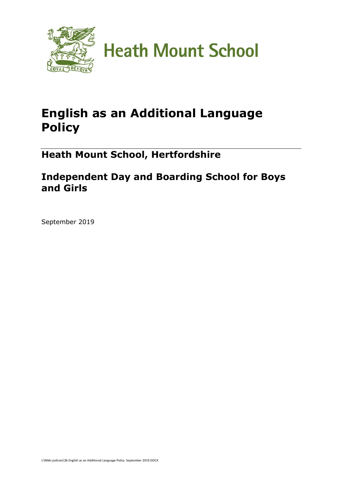

# **English as an Additional Language Policy**

**Heath Mount School, Hertfordshire**

## **Independent Day and Boarding School for Boys and Girls**

September 2019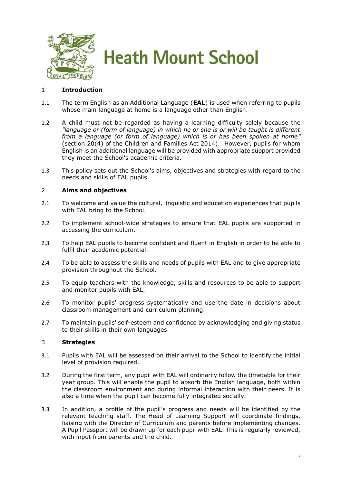

### 1 **Introduction**

- 1.1 The term English as an Additional Language (**EAL**) is used when referring to pupils whose main language at home is a language other than English.
- 1.2 A child must not be regarded as having a learning difficulty solely because the *"language or (form of language) in which he or she is or will be taught is different from a language (or form of language) which is or has been spoken at home"* (section 20(4) of the Children and Families Act 2014). However, pupils for whom English is an additional language will be provided with appropriate support provided they meet the School's academic criteria.
- 1.3 This policy sets out the School's aims, objectives and strategies with regard to the needs and skills of EAL pupils.

#### 2 **Aims and objectives**

- 2.1 To welcome and value the cultural, linguistic and education experiences that pupils with EAL bring to the School.
- 2.2 To implement school-wide strategies to ensure that EAL pupils are supported in accessing the curriculum.
- 2.3 To help EAL pupils to become confident and fluent in English in order to be able to fulfil their academic potential.
- 2.4 To be able to assess the skills and needs of pupils with EAL and to give appropriate provision throughout the School.
- 2.5 To equip teachers with the knowledge, skills and resources to be able to support and monitor pupils with EAL.
- 2.6 To monitor pupils' progress systematically and use the date in decisions about classroom management and curriculum planning.
- 2.7 To maintain pupils' self-esteem and confidence by acknowledging and giving status to their skills in their own languages.

#### 3 **Strategies**

- 3.1 Pupils with EAL will be assessed on their arrival to the School to identify the initial level of provision required.
- 3.2 During the first term, any pupil with EAL will ordinarily follow the timetable for their year group. This will enable the pupil to absorb the English language, both within the classroom environment and during informal interaction with their peers. It is also a time when the pupil can become fully integrated socially.
- 3.3 In addition, a profile of the pupil's progress and needs will be identified by the relevant teaching staff. The Head of Learning Support will coordinate findings, liaising with the Director of Curriculum and parents before implementing changes. A Pupil Passport will be drawn up for each pupil with EAL. This is regularly reviewed, with input from parents and the child.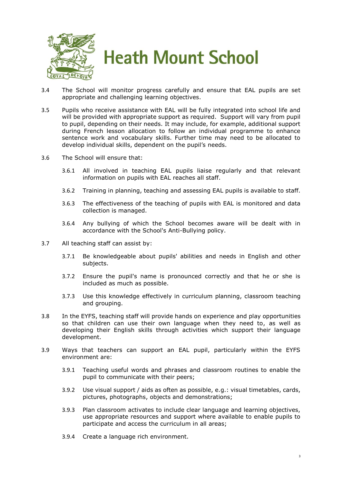

- 3.4 The School will monitor progress carefully and ensure that EAL pupils are set appropriate and challenging learning objectives.
- 3.5 Pupils who receive assistance with EAL will be fully integrated into school life and will be provided with appropriate support as required. Support will vary from pupil to pupil, depending on their needs. It may include, for example, additional support during French lesson allocation to follow an individual programme to enhance sentence work and vocabulary skills. Further time may need to be allocated to develop individual skills, dependent on the pupil's needs.
- 3.6 The School will ensure that:
	- 3.6.1 All involved in teaching EAL pupils liaise regularly and that relevant information on pupils with EAL reaches all staff.
	- 3.6.2 Training in planning, teaching and assessing EAL pupils is available to staff.
	- 3.6.3 The effectiveness of the teaching of pupils with EAL is monitored and data collection is managed.
	- 3.6.4 Any bullying of which the School becomes aware will be dealt with in accordance with the School's Anti-Bullying policy.
- 3.7 All teaching staff can assist by:
	- 3.7.1 Be knowledgeable about pupils' abilities and needs in English and other subjects.
	- 3.7.2 Ensure the pupil's name is pronounced correctly and that he or she is included as much as possible.
	- 3.7.3 Use this knowledge effectively in curriculum planning, classroom teaching and grouping.
- 3.8 In the EYFS, teaching staff will provide hands on experience and play opportunities so that children can use their own language when they need to, as well as developing their English skills through activities which support their language development.
- 3.9 Ways that teachers can support an EAL pupil, particularly within the EYFS environment are:
	- 3.9.1 Teaching useful words and phrases and classroom routines to enable the pupil to communicate with their peers;
	- 3.9.2 Use visual support / aids as often as possible, e.g.: visual timetables, cards, pictures, photographs, objects and demonstrations;
	- 3.9.3 Plan classroom activates to include clear language and learning objectives, use appropriate resources and support where available to enable pupils to participate and access the curriculum in all areas;
	- 3.9.4 Create a language rich environment.